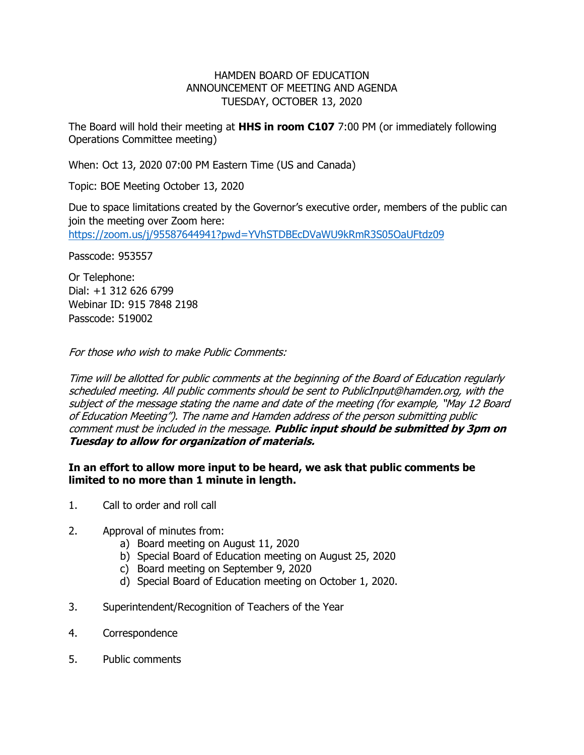## HAMDEN BOARD OF EDUCATION ANNOUNCEMENT OF MEETING AND AGENDA TUESDAY, OCTOBER 13, 2020

The Board will hold their meeting at **HHS in room C107** 7:00 PM (or immediately following Operations Committee meeting)

When: Oct 13, 2020 07:00 PM Eastern Time (US and Canada)

Topic: BOE Meeting October 13, 2020

Due to space limitations created by the Governor's executive order, members of the public can join the meeting over Zoom here: <https://zoom.us/j/95587644941?pwd=YVhSTDBEcDVaWU9kRmR3S05OaUFtdz09>

Passcode: 953557

Or Telephone: Dial: +1 312 626 6799 Webinar ID: 915 7848 2198 Passcode: 519002

For those who wish to make Public Comments:

Time will be allotted for public comments at the beginning of the Board of Education regularly scheduled meeting. All public comments should be sent to PublicInput@hamden.org, with the subject of the message stating the name and date of the meeting (for example, "May 12 Board of Education Meeting"). The name and Hamden address of the person submitting public comment must be included in the message. **Public input should be submitted by 3pm on Tuesday to allow for organization of materials.**

## **In an effort to allow more input to be heard, we ask that public comments be limited to no more than 1 minute in length.**

- 1. Call to order and roll call
- 2. Approval of minutes from:
	- a) Board meeting on August 11, 2020
	- b) Special Board of Education meeting on August 25, 2020
	- c) Board meeting on September 9, 2020
	- d) Special Board of Education meeting on October 1, 2020.
- 3. Superintendent/Recognition of Teachers of the Year
- 4. Correspondence
- 5. Public comments